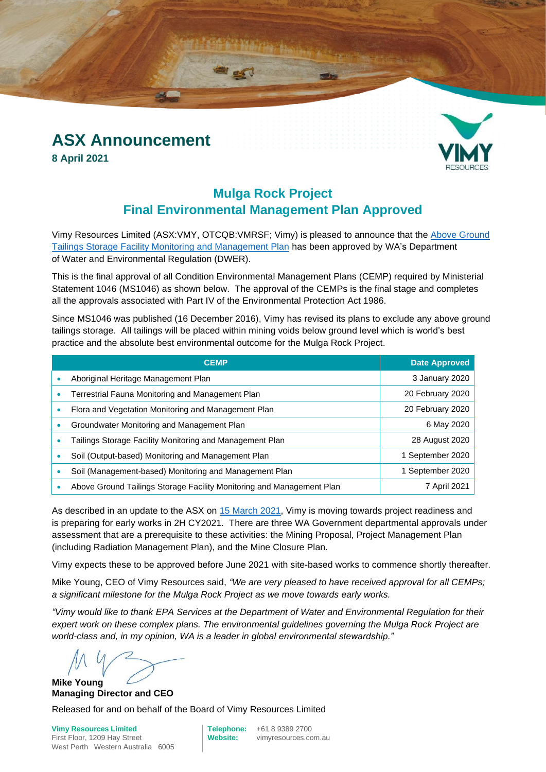# **ASX Announcement**

**8 April 2021**



### **Mulga Rock Project Final Environmental Management Plan Approved**

Vimy Resources Limited (ASX:VMY, OTCQB:VMRSF; Vimy) is pleased to announce that the [Above Ground](https://www.vimyresources.com.au/images/Approvals/Above_Ground_Tailings_Storage_Facility_Monitoring_and_Management_Plan.pdf)  [Tailings Storage Facility Monitoring and Management Plan](https://www.vimyresources.com.au/images/Approvals/Above_Ground_Tailings_Storage_Facility_Monitoring_and_Management_Plan.pdf) has been approved by WA's Department of Water and Environmental Regulation (DWER).

This is the final approval of all Condition Environmental Management Plans (CEMP) required by Ministerial Statement 1046 (MS1046) as shown below. The approval of the CEMPs is the final stage and completes all the approvals associated with Part IV of the Environmental Protection Act 1986.

Since MS1046 was published (16 December 2016), Vimy has revised its plans to exclude any above ground tailings storage. All tailings will be placed within mining voids below ground level which is world's best practice and the absolute best environmental outcome for the Mulga Rock Project.

| <b>CEMP</b>                                                           | <b>Date Approved</b> |
|-----------------------------------------------------------------------|----------------------|
| Aboriginal Heritage Management Plan                                   | 3 January 2020       |
| Terrestrial Fauna Monitoring and Management Plan                      | 20 February 2020     |
| Flora and Vegetation Monitoring and Management Plan                   | 20 February 2020     |
| Groundwater Monitoring and Management Plan                            | 6 May 2020           |
| Tailings Storage Facility Monitoring and Management Plan              | 28 August 2020       |
| Soil (Output-based) Monitoring and Management Plan                    | 1 September 2020     |
| Soil (Management-based) Monitoring and Management Plan                | 1 September 2020     |
| Above Ground Tailings Storage Facility Monitoring and Management Plan | 7 April 2021         |

As described in an update to the ASX on [15 March 2021,](http://clients3.weblink.com.au/pdf/VMY/02353564.pdf) Vimy is moving towards project readiness and is preparing for early works in 2H CY2021. There are three WA Government departmental approvals under assessment that are a prerequisite to these activities: the Mining Proposal, Project Management Plan (including Radiation Management Plan), and the Mine Closure Plan.

Vimy expects these to be approved before June 2021 with site-based works to commence shortly thereafter.

Mike Young, CEO of Vimy Resources said, *"We are very pleased to have received approval for all CEMPs; a significant milestone for the Mulga Rock Project as we move towards early works.* 

*"Vimy would like to thank EPA Services at the Department of Water and Environmental Regulation for their expert work on these complex plans. The environmental guidelines governing the Mulga Rock Project are world-class and, in my opinion, WA is a leader in global environmental stewardship."*

**Mike Young Managing Director and CEO**

Released for and on behalf of the Board of Vimy Resources Limited

**Vimy Resources Limited Telephone:** +61 8 9389 2700 First Floor, 1209 Hay Street **Website:** vimyresources.com.au West Perth Western Australia 6005